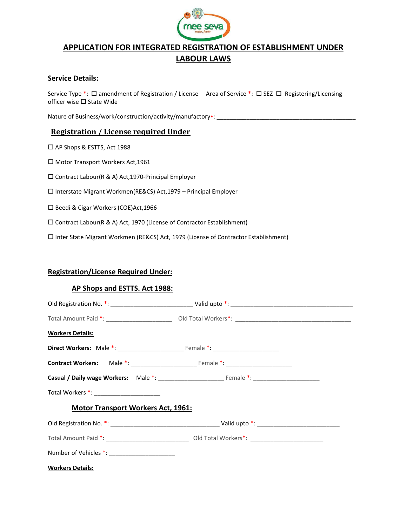

# APPLICATION FOR INTEGRATED REGISTRATION OF ESTABLISHMENT UNDER LABOUR LAWS

## Service Details:

Service Type \*:  $\Box$  amendment of Registration / License Area of Service \*:  $\Box$  SEZ  $\Box$  Registering/Licensing officer wise  $\square$  State Wide

Nature of Business/work/construction/activity/manufactory\*: \_\_

# Registration / License required Under

□ AP Shops & ESTTS, Act 1988

□ Motor Transport Workers Act, 1961

□ Contract Labour(R & A) Act, 1970-Principal Employer

Interstate Migrant Workmen(RE&CS) Act,1979 – Principal Employer

□ Beedi & Cigar Workers (COE)Act, 1966

Contract Labour(R & A) Act, 1970 (License of Contractor Establishment)

Inter State Migrant Workmen (RE&CS) Act, 1979 (License of Contractor Establishment)

# Registration/License Required Under:

### AP Shops and ESTTS. Act 1988:

| <b>Workers Details:</b>                        |  |
|------------------------------------------------|--|
|                                                |  |
|                                                |  |
|                                                |  |
| Total Workers *: _____________________         |  |
| Motor Transport Workers Act, 1961:             |  |
|                                                |  |
|                                                |  |
| Number of Vehicles *: ________________________ |  |
| <b>Workers Details:</b>                        |  |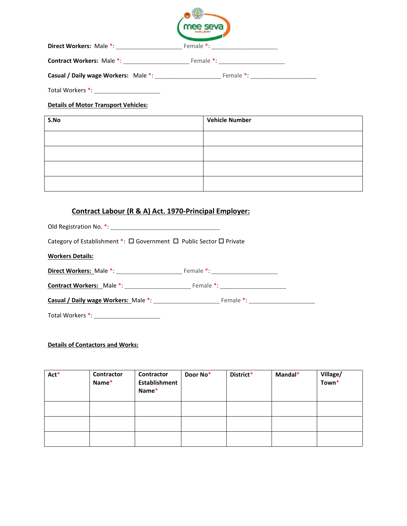|                                         | mee seva                                                                                                                                                                                                                       |  |
|-----------------------------------------|--------------------------------------------------------------------------------------------------------------------------------------------------------------------------------------------------------------------------------|--|
| Direct Workers: Male *: _______________ | Female *: and the set of the set of the set of the set of the set of the set of the set of the set of the set of the set of the set of the set of the set of the set of the set of the set of the set of the set of the set of |  |
|                                         | Female *: The Contract of the Contract of the Contract of the Contract of the Contract of the Contract of the Contract of the Contract of the Contract of the Contract of the Contract of the Contract of the Contract of the  |  |
| Casual / Daily wage Workers: Male *:    | Female *:                                                                                                                                                                                                                      |  |

Total Workers \*: \_\_\_\_\_\_\_\_\_\_\_\_\_\_\_\_\_\_\_\_

### Details of Motor Transport Vehicles:

| S.No | <b>Vehicle Number</b> |
|------|-----------------------|
|      |                       |
|      |                       |
|      |                       |
|      |                       |
|      |                       |

# Contract Labour (R & A) Act. 1970-Principal Employer:

| Category of Establishment $*$ : $\square$ Government $\square$ Public Sector $\square$ Private |  |  |  |  |  |  |
|------------------------------------------------------------------------------------------------|--|--|--|--|--|--|
| <b>Workers Details:</b>                                                                        |  |  |  |  |  |  |
|                                                                                                |  |  |  |  |  |  |
|                                                                                                |  |  |  |  |  |  |
| <b>Casual / Daily wage Workers:</b> Male *: <b>National Property Act 2018</b> Female *:        |  |  |  |  |  |  |
| Total Workers *: ________________________                                                      |  |  |  |  |  |  |

#### Details of Contactors and Works:

| Act* | Contractor<br>Name* | Contractor<br>Establishment<br>Name* | Door No* | District* | Mandal* | Village/<br>Town* |
|------|---------------------|--------------------------------------|----------|-----------|---------|-------------------|
|      |                     |                                      |          |           |         |                   |
|      |                     |                                      |          |           |         |                   |
|      |                     |                                      |          |           |         |                   |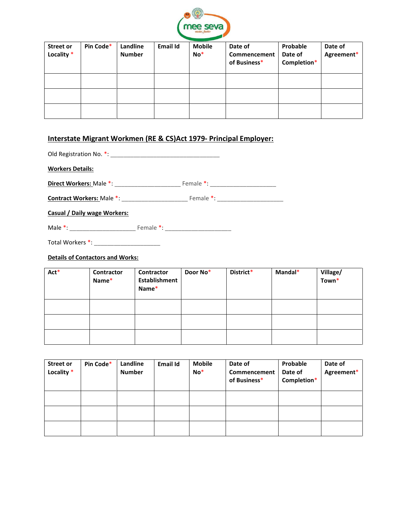

| <b>Street or</b><br>Locality * | Pin Code* | Landline<br><b>Number</b> | <b>Email Id</b> | <b>Mobile</b><br>$No*$ | Date of<br>Commencement<br>of Business* | Probable<br>Date of<br>Completion* | Date of<br>Agreement* |
|--------------------------------|-----------|---------------------------|-----------------|------------------------|-----------------------------------------|------------------------------------|-----------------------|
|                                |           |                           |                 |                        |                                         |                                    |                       |
|                                |           |                           |                 |                        |                                         |                                    |                       |
|                                |           |                           |                 |                        |                                         |                                    |                       |

# Interstate Migrant Workmen (RE & CS)Act 1979- Principal Employer:

| <b>Workers Details:</b>          |                                   |
|----------------------------------|-----------------------------------|
| <b>Direct Workers: Male *:</b>   | Female *: _______________________ |
| <b>Contract Workers: Male *:</b> |                                   |
| Casual / Daily wage Workers:     |                                   |

Male \*: \_\_\_\_\_\_\_\_\_\_\_\_\_\_\_\_\_\_\_\_ Female \*: \_\_\_\_\_\_\_\_\_\_\_\_\_\_\_\_\_\_\_\_

Total Workers \*: \_\_\_\_\_\_\_\_\_\_\_\_\_\_\_\_\_\_\_\_

### Details of Contactors and Works:

| Act* | Contractor<br>Name* | Contractor<br><b>Establishment</b><br>Name* | Door No* | District* | Mandal* | Village/<br>Town* |
|------|---------------------|---------------------------------------------|----------|-----------|---------|-------------------|
|      |                     |                                             |          |           |         |                   |
|      |                     |                                             |          |           |         |                   |
|      |                     |                                             |          |           |         |                   |

| <b>Street or</b><br>Locality * | Pin Code* | Landline<br><b>Number</b> | <b>Email Id</b> | <b>Mobile</b><br>$No*$ | Date of<br>Commencement<br>of Business* | Probable<br>Date of<br>Completion* | Date of<br>Agreement* |
|--------------------------------|-----------|---------------------------|-----------------|------------------------|-----------------------------------------|------------------------------------|-----------------------|
|                                |           |                           |                 |                        |                                         |                                    |                       |
|                                |           |                           |                 |                        |                                         |                                    |                       |
|                                |           |                           |                 |                        |                                         |                                    |                       |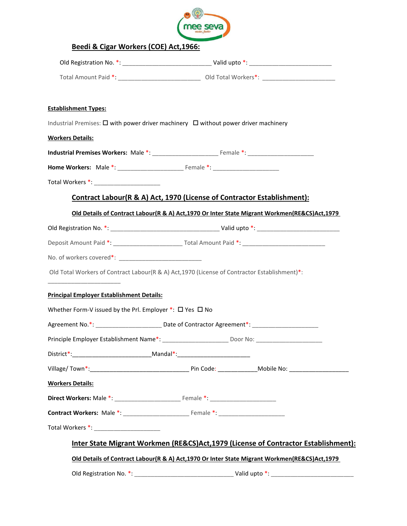

| Total Amount Paid *: __________________________________ Old Total Workers*: ________________________ |                                                                         |                                                                                                 |
|------------------------------------------------------------------------------------------------------|-------------------------------------------------------------------------|-------------------------------------------------------------------------------------------------|
|                                                                                                      |                                                                         |                                                                                                 |
| <b>Establishment Types:</b>                                                                          |                                                                         |                                                                                                 |
| Industrial Premises: $\square$ with power driver machinery $\square$ without power driver machinery  |                                                                         |                                                                                                 |
| <b>Workers Details:</b>                                                                              |                                                                         |                                                                                                 |
|                                                                                                      |                                                                         |                                                                                                 |
|                                                                                                      |                                                                         |                                                                                                 |
|                                                                                                      |                                                                         |                                                                                                 |
|                                                                                                      | Contract Labour(R & A) Act, 1970 (License of Contractor Establishment): |                                                                                                 |
|                                                                                                      |                                                                         | Old Details of Contract Labour(R & A) Act, 1970 Or Inter State Migrant Workmen(RE&CS) Act, 1979 |
|                                                                                                      |                                                                         |                                                                                                 |
|                                                                                                      |                                                                         |                                                                                                 |
|                                                                                                      |                                                                         |                                                                                                 |
| Old Total Workers of Contract Labour(R & A) Act, 1970 (License of Contractor Establishment)*:        |                                                                         |                                                                                                 |
|                                                                                                      |                                                                         |                                                                                                 |
| <b>Principal Employer Establishment Details:</b>                                                     |                                                                         |                                                                                                 |
| Whether Form-V issued by the Prl. Employer $*$ : $\square$ Yes $\square$ No                          |                                                                         |                                                                                                 |
| Agreement No.*: ________________________ Date of Contractor Agreement*: ___________________________  |                                                                         |                                                                                                 |
|                                                                                                      |                                                                         |                                                                                                 |
| District*:___________________________________Mandal*:___________________________                     |                                                                         |                                                                                                 |
|                                                                                                      |                                                                         |                                                                                                 |
| <b>Workers Details:</b>                                                                              |                                                                         |                                                                                                 |
|                                                                                                      |                                                                         |                                                                                                 |
|                                                                                                      |                                                                         |                                                                                                 |
|                                                                                                      |                                                                         |                                                                                                 |
|                                                                                                      |                                                                         | Inter State Migrant Workmen (RE&CS)Act,1979 (License of Contractor Establishment):              |
|                                                                                                      |                                                                         | Old Details of Contract Labour(R & A) Act, 1970 Or Inter State Migrant Workmen(RE&CS)Act, 1979  |
|                                                                                                      |                                                                         |                                                                                                 |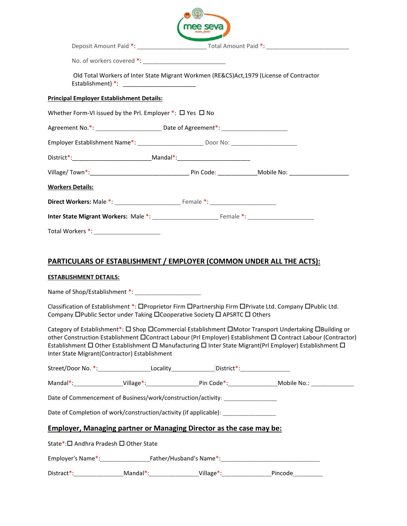|                                                                                                                                                                                                                                                                                                                                                                                                            | e seva                                                                                   |  |
|------------------------------------------------------------------------------------------------------------------------------------------------------------------------------------------------------------------------------------------------------------------------------------------------------------------------------------------------------------------------------------------------------------|------------------------------------------------------------------------------------------|--|
|                                                                                                                                                                                                                                                                                                                                                                                                            |                                                                                          |  |
|                                                                                                                                                                                                                                                                                                                                                                                                            |                                                                                          |  |
|                                                                                                                                                                                                                                                                                                                                                                                                            | Old Total Workers of Inter State Migrant Workmen (RE&CS)Act, 1979 (License of Contractor |  |
| <b>Principal Employer Establishment Details:</b>                                                                                                                                                                                                                                                                                                                                                           |                                                                                          |  |
| Whether Form-VI issued by the Prl. Employer $*$ : $\square$ Yes $\square$ No                                                                                                                                                                                                                                                                                                                               |                                                                                          |  |
| Agreement No.*: ______________________________Date of Agreement*: _____________________                                                                                                                                                                                                                                                                                                                    |                                                                                          |  |
| Employer Establishment Name*: ________________________________Door No: _____________________________                                                                                                                                                                                                                                                                                                       |                                                                                          |  |
|                                                                                                                                                                                                                                                                                                                                                                                                            |                                                                                          |  |
| Village/Town*: Note: Note: Note: Note: Note: Note: Note: Note: Note: Note: Note: Note: Note: Note: No                                                                                                                                                                                                                                                                                                      |                                                                                          |  |
| <b>Workers Details:</b>                                                                                                                                                                                                                                                                                                                                                                                    |                                                                                          |  |
|                                                                                                                                                                                                                                                                                                                                                                                                            |                                                                                          |  |
|                                                                                                                                                                                                                                                                                                                                                                                                            |                                                                                          |  |
| Total Workers *: _______________________                                                                                                                                                                                                                                                                                                                                                                   |                                                                                          |  |
|                                                                                                                                                                                                                                                                                                                                                                                                            |                                                                                          |  |
| PARTICULARS OF ESTABLISHMENT / EMPLOYER (COMMON UNDER ALL THE ACTS):                                                                                                                                                                                                                                                                                                                                       |                                                                                          |  |
| <b>ESTABLISHMENT DETAILS:</b>                                                                                                                                                                                                                                                                                                                                                                              |                                                                                          |  |
| Name of Shop/Establishment *:                                                                                                                                                                                                                                                                                                                                                                              |                                                                                          |  |
| Classification of Establishment *: OProprietor Firm OPartnership Firm OPrivate Ltd. Company OPublic Ltd.                                                                                                                                                                                                                                                                                                   |                                                                                          |  |
| Company □Public Sector under Taking □Cooperative Society □ APSRTC □ Others                                                                                                                                                                                                                                                                                                                                 |                                                                                          |  |
| Category of Establishment*: □ Shop □ Commercial Establishment □ Motor Transport Undertaking □ Building or<br>other Construction Establishment CContract Labour (Prl Employer) Establishment C Contract Labour (Contractor)<br>Establishment $\Box$ Other Establishment $\Box$ Manufacturing $\Box$ Inter State Migrant(Prl Employer) Establishment $\Box$<br>Inter State Migrant(Contractor) Establishment |                                                                                          |  |
| Street/Door No. *:______________________Locality________________District*:_________________________                                                                                                                                                                                                                                                                                                        |                                                                                          |  |
|                                                                                                                                                                                                                                                                                                                                                                                                            |                                                                                          |  |
| Date of Commencement of Business/work/construction/activity: ___________________                                                                                                                                                                                                                                                                                                                           |                                                                                          |  |
| Date of Completion of work/construction/activity (if applicable): ______________                                                                                                                                                                                                                                                                                                                           |                                                                                          |  |
| <b>Employer, Managing partner or Managing Director as the case may be:</b>                                                                                                                                                                                                                                                                                                                                 |                                                                                          |  |
| State*:□ Andhra Pradesh □ Other State                                                                                                                                                                                                                                                                                                                                                                      |                                                                                          |  |
|                                                                                                                                                                                                                                                                                                                                                                                                            |                                                                                          |  |
| Distract*:___________________Mandal*:___________________Village*:________________Pincode___________                                                                                                                                                                                                                                                                                                        |                                                                                          |  |